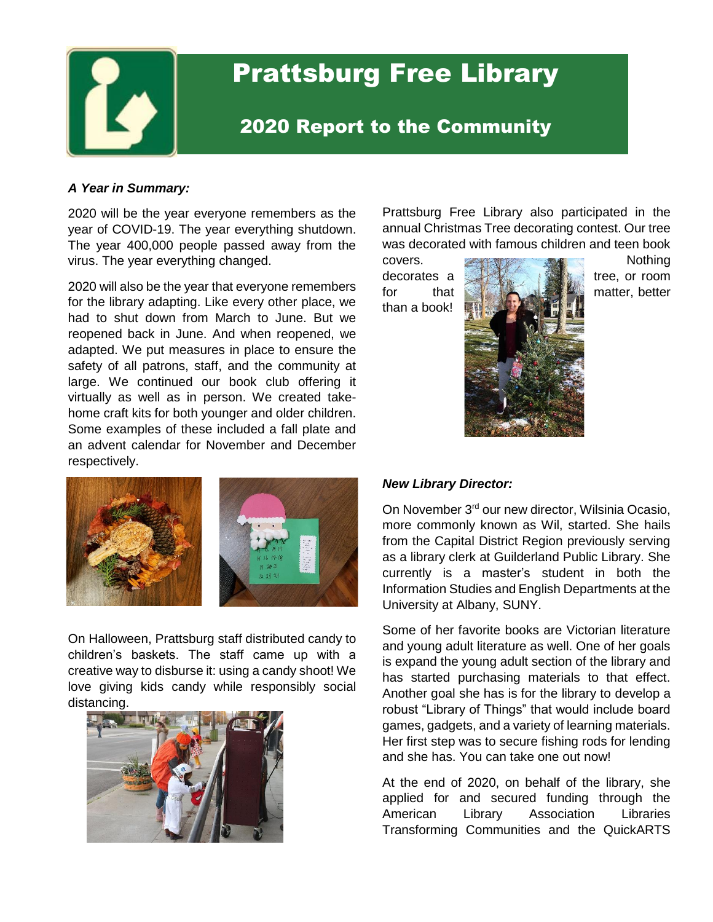

# Prattsburg Free Library

# 2020 Report to the Community

#### *A Year in Summary:*

2020 will be the year everyone remembers as the year of COVID-19. The year everything shutdown. The year 400,000 people passed away from the virus. The year everything changed.

2020 will also be the year that everyone remembers for the library adapting. Like every other place, we had to shut down from March to June. But we reopened back in June. And when reopened, we adapted. We put measures in place to ensure the safety of all patrons, staff, and the community at large. We continued our book club offering it virtually as well as in person. We created takehome craft kits for both younger and older children. Some examples of these included a fall plate and an advent calendar for November and December respectively.



On Halloween, Prattsburg staff distributed candy to children's baskets. The staff came up with a creative way to disburse it: using a candy shoot! We love giving kids candy while responsibly social distancing.



Prattsburg Free Library also participated in the annual Christmas Tree decorating contest. Our tree was decorated with famous children and teen book

than a book!



covers. **EXECUTE:** Nothing decorates a tree, or room

## *New Library Director:*

On November 3<sup>rd</sup> our new director, Wilsinia Ocasio, more commonly known as Wil, started. She hails from the Capital District Region previously serving as a library clerk at Guilderland Public Library. She currently is a master's student in both the Information Studies and English Departments at the University at Albany, SUNY.

Some of her favorite books are Victorian literature and young adult literature as well. One of her goals is expand the young adult section of the library and has started purchasing materials to that effect. Another goal she has is for the library to develop a robust "Library of Things" that would include board games, gadgets, and a variety of learning materials. Her first step was to secure fishing rods for lending and she has. You can take one out now!

At the end of 2020, on behalf of the library, she applied for and secured funding through the American Library Association Libraries Transforming Communities and the QuickARTS